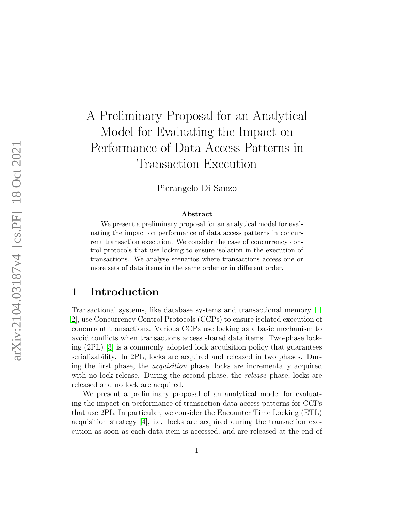# A Preliminary Proposal for an Analytical Model for Evaluating the Impact on Performance of Data Access Patterns in Transaction Execution

Pierangelo Di Sanzo

#### Abstract

We present a preliminary proposal for an analytical model for evaluating the impact on performance of data access patterns in concurrent transaction execution. We consider the case of concurrency control protocols that use locking to ensure isolation in the execution of transactions. We analyse scenarios where transactions access one or more sets of data items in the same order or in different order.

### 1 Introduction

Transactional systems, like database systems and transactional memory [\[1,](#page-11-0) [2\]](#page-11-1), use Concurrency Control Protocols (CCPs) to ensure isolated execution of concurrent transactions. Various CCPs use locking as a basic mechanism to avoid conflicts when transactions access shared data items. Two-phase locking (2PL) [\[3\]](#page-11-2) is a commonly adopted lock acquisition policy that guarantees serializability. In 2PL, locks are acquired and released in two phases. During the first phase, the acquisition phase, locks are incrementally acquired with no lock release. During the second phase, the *release* phase, locks are released and no lock are acquired.

We present a preliminary proposal of an analytical model for evaluating the impact on performance of transaction data access patterns for CCPs that use 2PL. In particular, we consider the Encounter Time Locking (ETL) acquisition strategy  $[4]$ , i.e. locks are acquired during the transaction execution as soon as each data item is accessed, and are released at the end of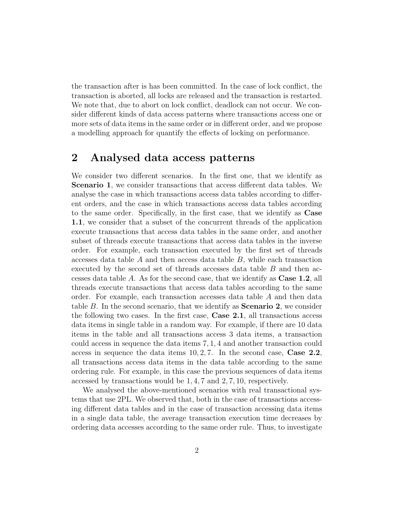the transaction after is has been committed. In the case of lock conflict, the transaction is aborted, all locks are released and the transaction is restarted. We note that, due to abort on lock conflict, deadlock can not occur. We consider different kinds of data access patterns where transactions access one or more sets of data items in the same order or in different order, and we propose a modelling approach for quantify the effects of locking on performance.

### <span id="page-1-0"></span>2 Analysed data access patterns

We consider two different scenarios. In the first one, that we identify as Scenario 1, we consider transactions that access different data tables. We analyse the case in which transactions access data tables according to different orders, and the case in which transactions access data tables according to the same order. Specifically, in the first case, that we identify as Case 1.1, we consider that a subset of the concurrent threads of the application execute transactions that access data tables in the same order, and another subset of threads execute transactions that access data tables in the inverse order. For example, each transaction executed by the first set of threads accesses data table  $A$  and then access data table  $B$ , while each transaction executed by the second set of threads accesses data table B and then accesses data table A. As for the second case, that we identify as Case 1.2, all threads execute transactions that access data tables according to the same order. For example, each transaction accesses data table A and then data table  $B$ . In the second scenario, that we identify as **Scenario 2**, we consider the following two cases. In the first case, Case 2.1, all transactions access data items in single table in a random way. For example, if there are 10 data items in the table and all transactions access 3 data items, a transaction could access in sequence the data items 7, 1, 4 and another transaction could access in sequence the data items  $10, 2, 7$ . In the second case, Case 2.2, all transactions access data items in the data table according to the same ordering rule. For example, in this case the previous sequences of data items accessed by transactions would be 1, 4, 7 and 2, 7, 10, respectively.

We analysed the above-mentioned scenarios with real transactional systems that use 2PL. We observed that, both in the case of transactions accessing different data tables and in the case of transaction accessing data items in a single data table, the average transaction execution time decreases by ordering data accesses according to the same order rule. Thus, to investigate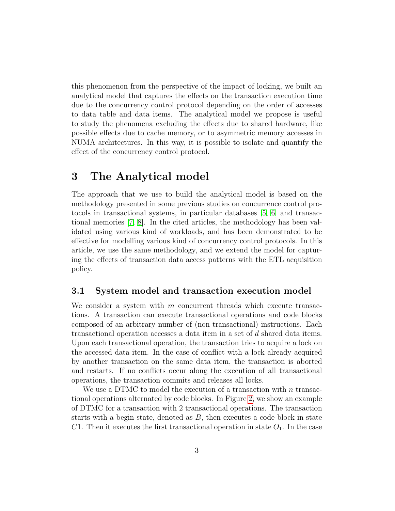this phenomenon from the perspective of the impact of locking, we built an analytical model that captures the effects on the transaction execution time due to the concurrency control protocol depending on the order of accesses to data table and data items. The analytical model we propose is useful to study the phenomena excluding the effects due to shared hardware, like possible effects due to cache memory, or to asymmetric memory accesses in NUMA architectures. In this way, it is possible to isolate and quantify the effect of the concurrency control protocol.

# 3 The Analytical model

The approach that we use to build the analytical model is based on the methodology presented in some previous studies on concurrence control protocols in transactional systems, in particular databases [\[5,](#page-11-4) [6\]](#page-11-5) and transactional memories [\[7,](#page-12-0) [8\]](#page-12-1). In the cited articles, the methodology has been validated using various kind of workloads, and has been demonstrated to be effective for modelling various kind of concurrency control protocols. In this article, we use the same methodology, and we extend the model for capturing the effects of transaction data access patterns with the ETL acquisition policy.

### 3.1 System model and transaction execution model

We consider a system with  $m$  concurrent threads which execute transactions. A transaction can execute transactional operations and code blocks composed of an arbitrary number of (non transactional) instructions. Each transactional operation accesses a data item in a set of d shared data items. Upon each transactional operation, the transaction tries to acquire a lock on the accessed data item. In the case of conflict with a lock already acquired by another transaction on the same data item, the transaction is aborted and restarts. If no conflicts occur along the execution of all transactional operations, the transaction commits and releases all locks.

We use a DTMC to model the execution of a transaction with  $n$  transactional operations alternated by code blocks. In Figure [2,](#page-4-0) we show an example of DTMC for a transaction with 2 transactional operations. The transaction starts with a begin state, denoted as  $B$ , then executes a code block in state C1. Then it executes the first transactional operation in state  $O<sub>1</sub>$ . In the case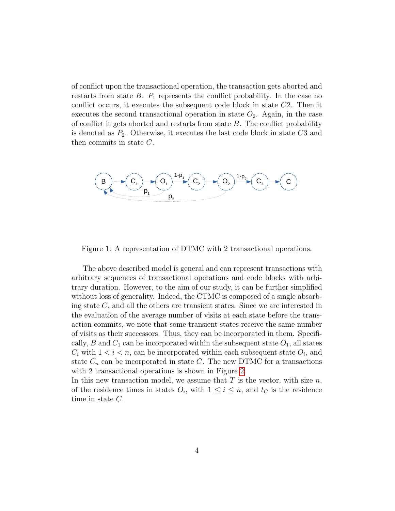of conflict upon the transactional operation, the transaction gets aborted and restarts from state  $B$ .  $P_1$  represents the conflict probability. In the case no conflict occurs, it executes the subsequent code block in state C2. Then it executes the second transactional operation in state  $O_2$ . Again, in the case of conflict it gets aborted and restarts from state  $B$ . The conflict probability is denoted as  $P_2$ . Otherwise, it executes the last code block in state  $C3$  and then commits in state C.



Figure 1: A representation of DTMC with 2 transactional operations.

The above described model is general and can represent transactions with arbitrary sequences of transactional operations and code blocks with arbitrary duration. However, to the aim of our study, it can be further simplified without loss of generality. Indeed, the CTMC is composed of a single absorbing state C, and all the others are transient states. Since we are interested in the evaluation of the average number of visits at each state before the transaction commits, we note that some transient states receive the same number of visits as their successors. Thus, they can be incorporated in them. Specifically, B and  $C_1$  can be incorporated within the subsequent state  $O_1$ , all states  $C_i$  with  $1 < i < n$ , can be incorporated within each subsequent state  $O_i$ , and state  $C_n$  can be incorporated in state C. The new DTMC for a transactions with 2 transactional operations is shown in Figure [2.](#page-4-0)

In this new transaction model, we assume that  $T$  is the vector, with size  $n$ , of the residence times in states  $O_i$ , with  $1 \leq i \leq n$ , and  $t_C$  is the residence time in state C.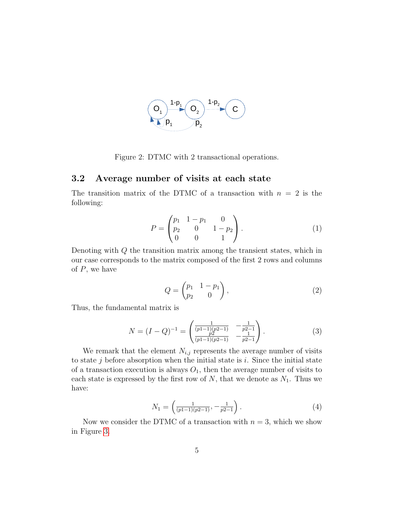

<span id="page-4-0"></span>Figure 2: DTMC with 2 transactional operations.

### 3.2 Average number of visits at each state

The transition matrix of the DTMC of a transaction with  $n = 2$  is the following:

$$
P = \begin{pmatrix} p_1 & 1 - p_1 & 0 \\ p_2 & 0 & 1 - p_2 \\ 0 & 0 & 1 \end{pmatrix}.
$$
 (1)

Denoting with Q the transition matrix among the transient states, which in our case corresponds to the matrix composed of the first 2 rows and columns of  $P$ , we have

$$
Q = \begin{pmatrix} p_1 & 1 - p_1 \\ p_2 & 0 \end{pmatrix},\tag{2}
$$

Thus, the fundamental matrix is

$$
N = (I - Q)^{-1} = \begin{pmatrix} \frac{1}{(p-1)(p-1)} & -\frac{1}{p-1} \\ \frac{p}{(p-1)(p-1)} & -\frac{1}{p-1} \end{pmatrix}.
$$
 (3)

We remark that the element  $N_{i,j}$  represents the average number of visits to state  $j$  before absorption when the initial state is  $i$ . Since the initial state of a transaction execution is always  $O_1$ , then the average number of visits to each state is expressed by the first row of  $N$ , that we denote as  $N_1$ . Thus we have:

<span id="page-4-1"></span>
$$
N_1 = \left(\frac{1}{(p_1 - 1)(p_2 - 1)}, -\frac{1}{p_2 - 1}\right). \tag{4}
$$

Now we consider the DTMC of a transaction with  $n = 3$ , which we show in Figure [3.](#page-5-0)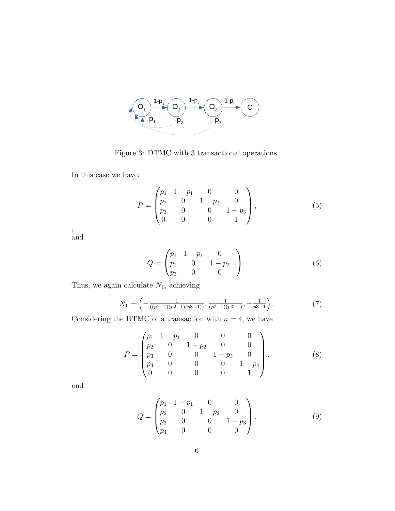

<span id="page-5-0"></span>Figure 3: DTMC with 3 transactional operations.

In this case we have:

$$
P = \begin{pmatrix} p_1 & 1 - p_1 & 0 & 0 \\ p_2 & 0 & 1 - p_2 & 0 \\ p_3 & 0 & 0 & 1 - p_3 \\ 0 & 0 & 0 & 1 \end{pmatrix},
$$
 (5)

, and

$$
Q = \begin{pmatrix} p_1 & 1 - p_1 & 0 \\ p_2 & 0 & 1 - p_2 \\ p_3 & 0 & 0 \end{pmatrix}.
$$
 (6)

Thus, we again calculate  $N_1$ , achieving

<span id="page-5-1"></span>
$$
N_1 = \left( -\frac{1}{((p_1 - 1)(p_2 - 1)(p_3 - 1))}, \frac{1}{(p_2 - 1)(p_3 - 1)}, -\frac{1}{p_3 - 1} \right). \tag{7}
$$

Considering the DTMC of a transaction with  $n = 4$ , we have

$$
P = \begin{pmatrix} p_1 & 1-p_1 & 0 & 0 & 0 \\ p_2 & 0 & 1-p_2 & 0 & 0 \\ p_3 & 0 & 0 & 1-p_3 & 0 \\ p_4 & 0 & 0 & 0 & 1-p_4 \\ 0 & 0 & 0 & 0 & 1 \end{pmatrix},
$$
 (8)

and

$$
Q = \begin{pmatrix} p_1 & 1 - p_1 & 0 & 0 \\ p_2 & 0 & 1 - p_2 & 0 \\ p_3 & 0 & 0 & 1 - p_3 \\ p_4 & 0 & 0 & 0 \end{pmatrix}.
$$
 (9)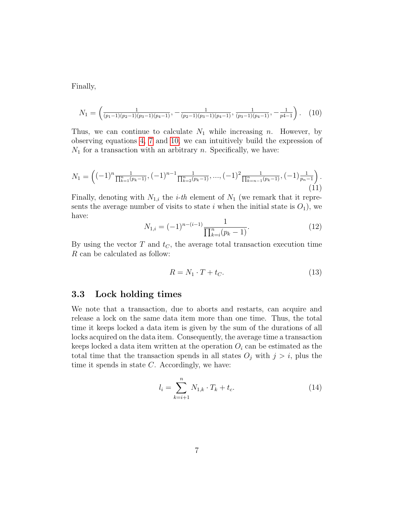Finally,

<span id="page-6-0"></span>
$$
N_1 = \left(\frac{1}{(p_1 - 1)(p_2 - 1)(p_3 - 1)(p_4 - 1)}, \frac{1}{(p_2 - 1)(p_3 - 1)(p_4 - 1)}, \frac{1}{(p_3 - 1)(p_4 - 1)}, -\frac{1}{p_4 - 1}\right). (10)
$$

Thus, we can continue to calculate  $N_1$  while increasing n. However, by observing equations [4,](#page-4-1) [7](#page-5-1) and [10,](#page-6-0) we can intuitively build the expression of  $N_1$  for a transaction with an arbitrary n. Specifically, we have:

$$
N_1 = \left( (-1)^n \frac{1}{\prod_{k=1}^n (p_k - 1)}, (-1)^{n-1} \frac{1}{\prod_{k=2}^n (p_k - 1)}, \dots, (-1)^2 \frac{1}{\prod_{k=n-1}^n (p_k - 1)}, (-1) \frac{1}{p_n - 1} \right). \tag{11}
$$

Finally, denoting with  $N_{1,i}$  the *i-th* element of  $N_1$  (we remark that it represents the average number of visits to state i when the initial state is  $O_1$ , we have:

<span id="page-6-1"></span>
$$
N_{1,i} = (-1)^{n-(i-1)} \frac{1}{\prod_{k=i}^{n} (p_k - 1)}.
$$
\n(12)

By using the vector  $T$  and  $t<sub>C</sub>$ , the average total transaction execution time R can be calculated as follow:

<span id="page-6-2"></span>
$$
R = N_1 \cdot T + t_C. \tag{13}
$$

### 3.3 Lock holding times

We note that a transaction, due to aborts and restarts, can acquire and release a lock on the same data item more than one time. Thus, the total time it keeps locked a data item is given by the sum of the durations of all locks acquired on the data item. Consequently, the average time a transaction keeps locked a data item written at the operation  $O_i$  can be estimated as the total time that the transaction spends in all states  $O_j$  with  $j > i$ , plus the time it spends in state  $C$ . Accordingly, we have:

<span id="page-6-3"></span>
$$
l_i = \sum_{k=i+1}^{n} N_{1,k} \cdot T_k + t_c.
$$
 (14)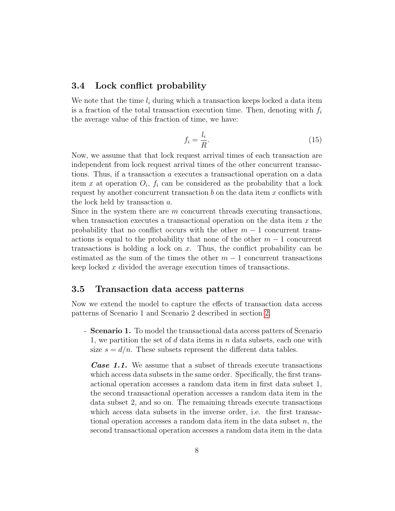#### <span id="page-7-0"></span>3.4 Lock conflict probability

We note that the time  $l_i$  during which a transaction keeps locked a data item is a fraction of the total transaction execution time. Then, denoting with  $f_i$ the average value of this fraction of time, we have:

<span id="page-7-1"></span>
$$
f_i = \frac{l_i}{R}.\tag{15}
$$

Now, we assume that that lock request arrival times of each transaction are independent from lock request arrival times of the other concurrent transactions. Thus, if a transaction a executes a transactional operation on a data item x at operation  $O_i$ ,  $f_i$  can be considered as the probability that a lock request by another concurrent transaction  $b$  on the data item  $x$  conflicts with the lock held by transaction a.

Since in the system there are  $m$  concurrent threads executing transactions, when transaction executes a transactional operation on the data item  $x$  the probability that no conflict occurs with the other  $m-1$  concurrent transactions is equal to the probability that none of the other  $m-1$  concurrent transactions is holding a lock on  $x$ . Thus, the conflict probability can be estimated as the sum of the times the other  $m-1$  concurrent transactions keep locked x divided the average execution times of transactions.

#### 3.5 Transaction data access patterns

Now we extend the model to capture the effects of transaction data access patterns of Scenario 1 and Scenario 2 described in section [2.](#page-1-0)

- Scenario 1. To model the transactional data access patters of Scenario 1, we partition the set of d data items in  $n$  data subsets, each one with size  $s = d/n$ . These subsets represent the different data tables.

Case 1.1. We assume that a subset of threads execute transactions which access data subsets in the same order. Specifically, the first transactional operation accesses a random data item in first data subset 1, the second transactional operation accesses a random data item in the data subset 2, and so on. The remaining threads execute transactions which access data subsets in the inverse order, i.e. the first transactional operation accesses a random data item in the data subset  $n$ , the second transactional operation accesses a random data item in the data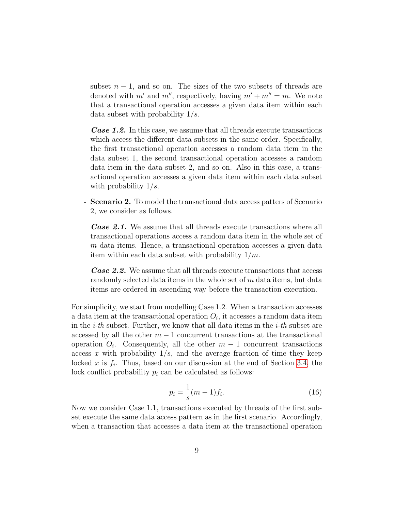subset  $n-1$ , and so on. The sizes of the two subsets of threads are denoted with m' and m'', respectively, having  $m' + m'' = m$ . We note that a transactional operation accesses a given data item within each data subset with probability  $1/s$ .

**Case 1.2.** In this case, we assume that all threads execute transactions which access the different data subsets in the same order. Specifically, the first transactional operation accesses a random data item in the data subset 1, the second transactional operation accesses a random data item in the data subset 2, and so on. Also in this case, a transactional operation accesses a given data item within each data subset with probability  $1/s$ .

- Scenario 2. To model the transactional data access patters of Scenario 2, we consider as follows.

**Case 2.1.** We assume that all threads execute transactions where all transactional operations access a random data item in the whole set of m data items. Hence, a transactional operation accesses a given data item within each data subset with probability  $1/m$ .

**Case 2.2.** We assume that all threads execute transactions that access randomly selected data items in the whole set of m data items, but data items are ordered in ascending way before the transaction execution.

For simplicity, we start from modelling Case 1.2. When a transaction accesses a data item at the transactional operation  $O_i$ , it accesses a random data item in the *i-th* subset. Further, we know that all data items in the *i-th* subset are accessed by all the other  $m-1$  concurrent transactions at the transactional operation  $O_i$ . Consequently, all the other  $m-1$  concurrent transactions access x with probability  $1/s$ , and the average fraction of time they keep locked x is  $f_i$ . Thus, based on our discussion at the end of Section [3.4,](#page-7-0) the lock conflict probability  $p_i$  can be calculated as follows:

<span id="page-8-0"></span>
$$
p_i = \frac{1}{s}(m-1)f_i.
$$
 (16)

Now we consider Case 1.1, transactions executed by threads of the first subset execute the same data access pattern as in the first scenario. Accordingly, when a transaction that accesses a data item at the transactional operation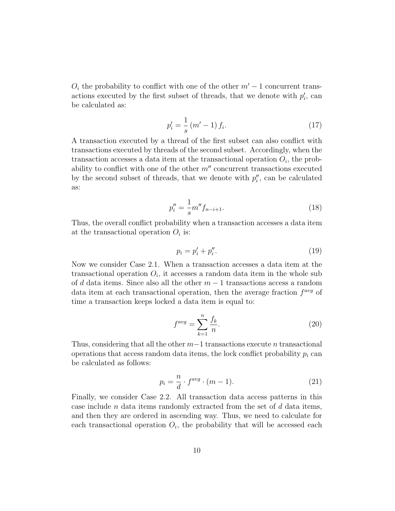$O_i$  the probability to conflict with one of the other  $m' - 1$  concurrent transactions executed by the first subset of threads, that we denote with  $p'_i$ , can be calculated as:

<span id="page-9-0"></span>
$$
p_i' = \frac{1}{s} (m' - 1) f_i.
$$
 (17)

A transaction executed by a thread of the first subset can also conflict with transactions executed by threads of the second subset. Accordingly, when the transaction accesses a data item at the transactional operation  $O_i$ , the probability to conflict with one of the other  $m''$  concurrent transactions executed by the second subset of threads, that we denote with  $p''_i$ , can be calculated as:

<span id="page-9-1"></span>
$$
p_i'' = \frac{1}{s} m'' f_{n-i+1}.
$$
\n(18)

Thus, the overall conflict probability when a transaction accesses a data item at the transactional operation  $O_i$  is:

<span id="page-9-2"></span>
$$
p_i = p'_i + p''_i. \tag{19}
$$

Now we consider Case 2.1. When a transaction accesses a data item at the transactional operation  $O_i$ , it accesses a random data item in the whole sub of d data items. Since also all the other  $m-1$  transactions access a random data item at each transactional operation, then the average fraction  $f^{avg}$  of time a transaction keeps locked a data item is equal to:

<span id="page-9-3"></span>
$$
f^{avg} = \sum_{k=1}^{n} \frac{f_k}{n}.
$$
\n(20)

Thus, considering that all the other  $m-1$  transactions execute n transactional operations that access random data items, the lock conflict probability  $p_i$  can be calculated as follows:

<span id="page-9-4"></span>
$$
p_i = \frac{n}{d} \cdot f^{avg} \cdot (m-1). \tag{21}
$$

Finally, we consider Case 2.2. All transaction data access patterns in this case include *n* data items randomly extracted from the set of  $d$  data items, and then they are ordered in ascending way. Thus, we need to calculate for each transactional operation  $O_i$ , the probability that will be accessed each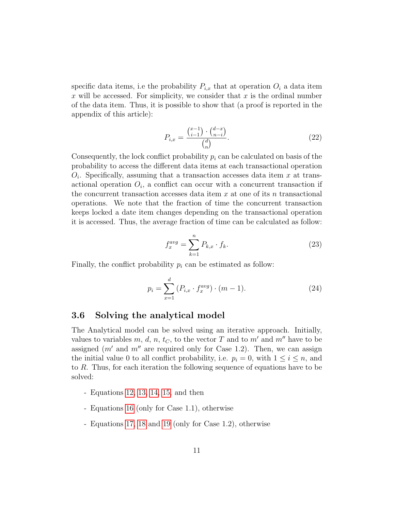specific data items, i.e the probability  $P_{i,x}$  that at operation  $O_i$  a data item x will be accessed. For simplicity, we consider that  $x$  is the ordinal number of the data item. Thus, it is possible to show that (a proof is reported in the appendix of this article):

<span id="page-10-0"></span>
$$
P_{i,x} = \frac{\binom{x-1}{i-1} \cdot \binom{d-x}{n-i}}{\binom{d}{n}}.\tag{22}
$$

Consequently, the lock conflict probability  $p_i$  can be calculated on basis of the probability to access the different data items at each transactional operation  $O_i$ . Specifically, assuming that a transaction accesses data item x at transactional operation  $O_i$ , a conflict can occur with a concurrent transaction if the concurrent transaction accesses data item  $x$  at one of its  $n$  transactional operations. We note that the fraction of time the concurrent transaction keeps locked a date item changes depending on the transactional operation it is accessed. Thus, the average fraction of time can be calculated as follow:

<span id="page-10-1"></span>
$$
f_x^{avg} = \sum_{k=1}^{n} P_{k,x} \cdot f_k.
$$
 (23)

Finally, the conflict probability  $p_i$  can be estimated as follow:

<span id="page-10-2"></span>
$$
p_i = \sum_{x=1}^{d} (P_{i,x} \cdot f_x^{avg}) \cdot (m-1).
$$
 (24)

### 3.6 Solving the analytical model

The Analytical model can be solved using an iterative approach. Initially, values to variables m, d, n, t<sub>C</sub>, to the vector T and to m' and m'' have to be assigned  $(m'$  and  $m''$  are required only for Case 1.2). Then, we can assign the initial value 0 to all conflict probability, i.e.  $p_i = 0$ , with  $1 \leq i \leq n$ , and to R. Thus, for each iteration the following sequence of equations have to be solved:

- Equations [12,](#page-6-1) [13,](#page-6-2) [14,](#page-6-3) [15,](#page-7-1) and then
- Equations [16](#page-8-0) (only for Case 1.1), otherwise
- Equations [17,](#page-9-0) [18](#page-9-1) and [19](#page-9-2) (only for Case 1.2), otherwise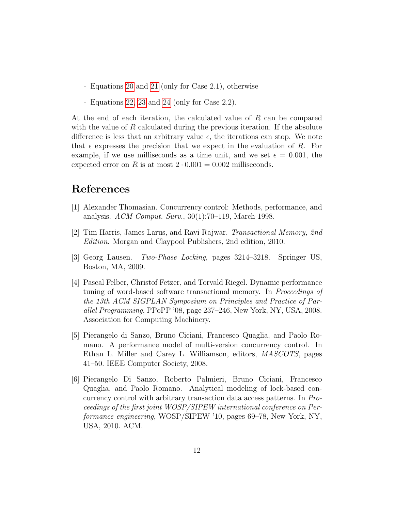- Equations [20](#page-9-3) and [21](#page-9-4) (only for Case 2.1), otherwise
- Equations [22,](#page-10-0) [23](#page-10-1) and [24](#page-10-2) (only for Case 2.2).

At the end of each iteration, the calculated value of R can be compared with the value of  $R$  calculated during the previous iteration. If the absolute difference is less that an arbitrary value  $\epsilon$ , the iterations can stop. We note that  $\epsilon$  expresses the precision that we expect in the evaluation of R. For example, if we use milliseconds as a time unit, and we set  $\epsilon = 0.001$ , the expected error on R is at most  $2 \cdot 0.001 = 0.002$  milliseconds.

# References

- <span id="page-11-0"></span>[1] Alexander Thomasian. Concurrency control: Methods, performance, and analysis. ACM Comput. Surv., 30(1):70–119, March 1998.
- <span id="page-11-1"></span>[2] Tim Harris, James Larus, and Ravi Rajwar. Transactional Memory, 2nd Edition. Morgan and Claypool Publishers, 2nd edition, 2010.
- <span id="page-11-2"></span>[3] Georg Lausen. Two-Phase Locking, pages 3214–3218. Springer US, Boston, MA, 2009.
- <span id="page-11-3"></span>[4] Pascal Felber, Christof Fetzer, and Torvald Riegel. Dynamic performance tuning of word-based software transactional memory. In Proceedings of the 13th ACM SIGPLAN Symposium on Principles and Practice of Parallel Programming, PPoPP '08, page 237–246, New York, NY, USA, 2008. Association for Computing Machinery.
- <span id="page-11-4"></span>[5] Pierangelo di Sanzo, Bruno Ciciani, Francesco Quaglia, and Paolo Romano. A performance model of multi-version concurrency control. In Ethan L. Miller and Carey L. Williamson, editors, MASCOTS, pages 41–50. IEEE Computer Society, 2008.
- <span id="page-11-5"></span>[6] Pierangelo Di Sanzo, Roberto Palmieri, Bruno Ciciani, Francesco Quaglia, and Paolo Romano. Analytical modeling of lock-based concurrency control with arbitrary transaction data access patterns. In Proceedings of the first joint WOSP/SIPEW international conference on Performance engineering, WOSP/SIPEW '10, pages 69–78, New York, NY, USA, 2010. ACM.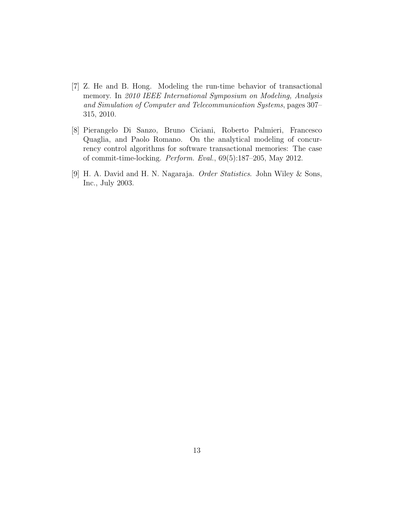- <span id="page-12-0"></span>[7] Z. He and B. Hong. Modeling the run-time behavior of transactional memory. In 2010 IEEE International Symposium on Modeling, Analysis and Simulation of Computer and Telecommunication Systems, pages 307– 315, 2010.
- <span id="page-12-1"></span>[8] Pierangelo Di Sanzo, Bruno Ciciani, Roberto Palmieri, Francesco Quaglia, and Paolo Romano. On the analytical modeling of concurrency control algorithms for software transactional memories: The case of commit-time-locking. Perform. Eval., 69(5):187–205, May 2012.
- <span id="page-12-2"></span>[9] H. A. David and H. N. Nagaraja. Order Statistics. John Wiley & Sons, Inc., July 2003.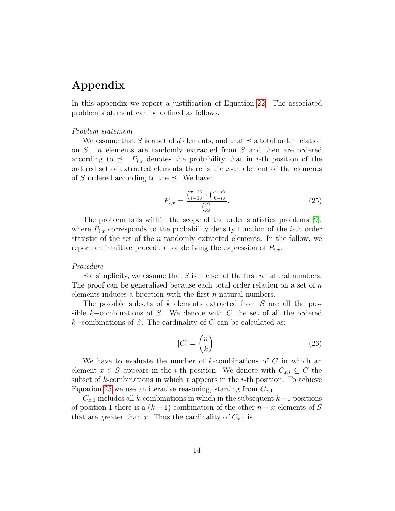# Appendix

In this appendix we report a justification of Equation [22.](#page-10-0) The associated problem statement can be defined as follows.

#### Problem statement

We assume that S is a set of d elements, and that  $\preceq$  a total order relation on S. n elements are randomly extracted from S and then are ordered according to  $\preceq$ .  $P_{i,x}$  denotes the probability that in *i*-th position of the ordered set of extracted elements there is the  $x$ -th element of the elements of S ordered according to the  $\preceq$ . We have:

<span id="page-13-0"></span>
$$
P_{i,x} = \frac{\binom{x-1}{i-1} \cdot \binom{n-x}{k-i}}{\binom{n}{k}}.
$$
\n(25)

The problem falls within the scope of the order statistics problems [\[9\]](#page-12-2), where  $P_{i,x}$  corresponds to the probability density function of the *i*-th order statistic of the set of the  $n$  randomly extracted elements. In the follow, we report an intuitive procedure for deriving the expression of  $P_{i,x}$ .

#### Procedure

For simplicity, we assume that  $S$  is the set of the first n natural numbers. The proof can be generalized because each total order relation on a set of  $n$ elements induces a bijection with the first  $n$  natural numbers.

The possible subsets of  $k$  elements extracted from  $S$  are all the possible k–combinations of S. We denote with C the set of all the ordered  $k$ −combinations of S. The cardinality of C can be calculated as:

$$
|C| = \binom{n}{k}.\tag{26}
$$

We have to evaluate the number of  $k$ -combinations of  $C$  in which an element  $x \in S$  appears in the *i*-th position. We denote with  $C_{x,i} \subseteq C$  the subset of k-combinations in which x appears in the *i*-th position. To achieve Equation [25](#page-13-0) we use an iterative reasoning, starting from  $C_{x,1}$ .

 $C_{x,1}$  includes all k-combinations in which in the subsequent  $k-1$  positions of position 1 there is a  $(k-1)$ -combination of the other  $n-x$  elements of S that are greater than x. Thus the cardinality of  $C_{x,1}$  is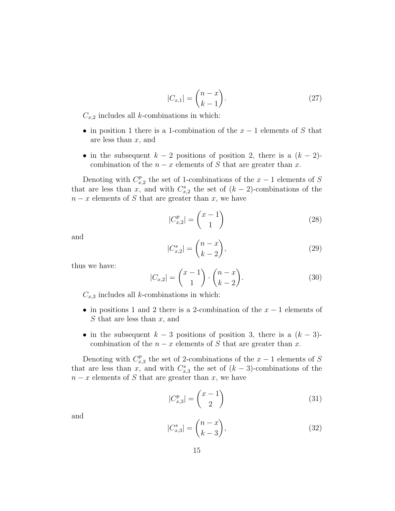$$
|C_{x,1}| = \binom{n-x}{k-1}.\tag{27}
$$

 $C_{x,2}$  includes all k-combinations in which:

- in position 1 there is a 1-combination of the  $x-1$  elements of S that are less than  $x$ , and
- in the subsequent  $k-2$  positions of position 2, there is a  $(k-2)$ combination of the  $n - x$  elements of S that are greater than x.

Denoting with  $C_x^p$  $x_1^p$  the set of 1-combinations of the  $x-1$  elements of S that are less than x, and with  $C_{x,2}^s$  the set of  $(k-2)$ -combinations of the  $n - x$  elements of S that are greater than x, we have

$$
|C_{x,2}^p| = \binom{x-1}{1} \tag{28}
$$

and

$$
|C_{x,2}^s| = \binom{n-x}{k-2},\tag{29}
$$

thus we have:

$$
|C_{x,2}| = \binom{x-1}{1} \cdot \binom{n-x}{k-2}.\tag{30}
$$

 $C_{x,3}$  includes all k-combinations in which:

- in positions 1 and 2 there is a 2-combination of the  $x 1$  elements of  $S$  that are less than  $x$ , and
- in the subsequent  $k-3$  positions of position 3, there is a  $(k-3)$ combination of the  $n - x$  elements of S that are greater than x.

Denoting with  $C_x^p$  $x_3^p$  the set of 2-combinations of the  $x-1$  elements of S that are less than x, and with  $C_{x,3}^s$  the set of  $(k-3)$ -combinations of the  $n - x$  elements of S that are greater than x, we have

$$
|C_{x,3}^p| = \binom{x-1}{2} \tag{31}
$$

and

$$
|C_{x,3}^s| = \binom{n-x}{k-3},\tag{32}
$$